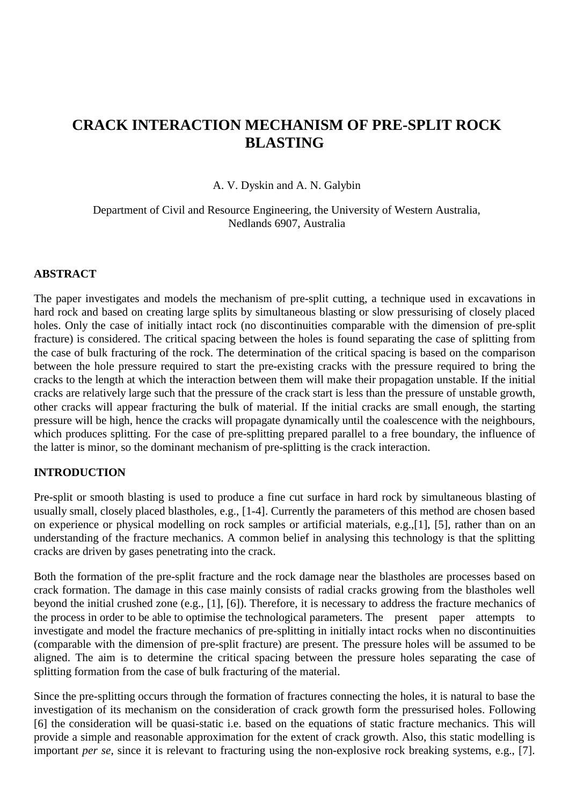# **CRACK INTERACTION MECHANISM OF PRE-SPLIT ROCK BLASTING**

A. V. Dyskin and A. N. Galybin

Department of Civil and Resource Engineering, the University of Western Australia, Nedlands 6907, Australia

#### **ABSTRACT**

The paper investigates and models the mechanism of pre-split cutting, a technique used in excavations in hard rock and based on creating large splits by simultaneous blasting or slow pressurising of closely placed holes. Only the case of initially intact rock (no discontinuities comparable with the dimension of pre-split fracture) is considered. The critical spacing between the holes is found separating the case of splitting from the case of bulk fracturing of the rock. The determination of the critical spacing is based on the comparison between the hole pressure required to start the pre-existing cracks with the pressure required to bring the cracks to the length at which the interaction between them will make their propagation unstable. If the initial cracks are relatively large such that the pressure of the crack start is less than the pressure of unstable growth, other cracks will appear fracturing the bulk of material. If the initial cracks are small enough, the starting pressure will be high, hence the cracks will propagate dynamically until the coalescence with the neighbours, which produces splitting. For the case of pre-splitting prepared parallel to a free boundary, the influence of the latter is minor, so the dominant mechanism of pre-splitting is the crack interaction.

#### **INTRODUCTION**

Pre-split or smooth blasting is used to produce a fine cut surface in hard rock by simultaneous blasting of usually small, closely placed blastholes, e.g., [1-4]. Currently the parameters of this method are chosen based on experience or physical modelling on rock samples or artificial materials, e.g.,[1], [5], rather than on an understanding of the fracture mechanics. A common belief in analysing this technology is that the splitting cracks are driven by gases penetrating into the crack.

Both the formation of the pre-split fracture and the rock damage near the blastholes are processes based on crack formation. The damage in this case mainly consists of radial cracks growing from the blastholes well beyond the initial crushed zone (e.g., [1], [6]). Therefore, it is necessary to address the fracture mechanics of the process in order to be able to optimise the technological parameters. The present paper attempts to investigate and model the fracture mechanics of pre-splitting in initially intact rocks when no discontinuities (comparable with the dimension of pre-split fracture) are present. The pressure holes will be assumed to be aligned. The aim is to determine the critical spacing between the pressure holes separating the case of splitting formation from the case of bulk fracturing of the material.

Since the pre-splitting occurs through the formation of fractures connecting the holes, it is natural to base the investigation of its mechanism on the consideration of crack growth form the pressurised holes. Following [6] the consideration will be quasi-static i.e. based on the equations of static fracture mechanics. This will provide a simple and reasonable approximation for the extent of crack growth. Also, this static modelling is important *per se*, since it is relevant to fracturing using the non-explosive rock breaking systems, e.g., [7].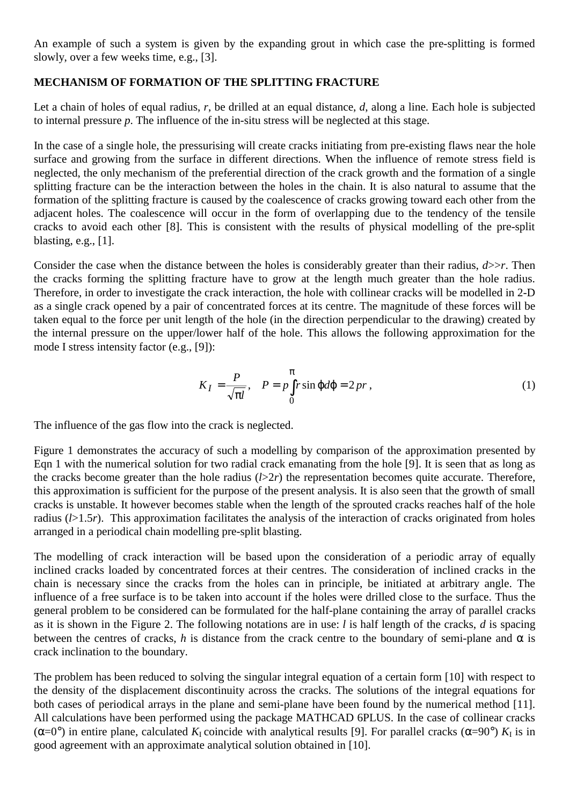An example of such a system is given by the expanding grout in which case the pre-splitting is formed slowly, over a few weeks time, e.g., [3].

### **MECHANISM OF FORMATION OF THE SPLITTING FRACTURE**

Let a chain of holes of equal radius, *r*, be drilled at an equal distance, *d*, along a line. Each hole is subjected to internal pressure *p*. The influence of the in-situ stress will be neglected at this stage.

In the case of a single hole, the pressurising will create cracks initiating from pre-existing flaws near the hole surface and growing from the surface in different directions. When the influence of remote stress field is neglected, the only mechanism of the preferential direction of the crack growth and the formation of a single splitting fracture can be the interaction between the holes in the chain. It is also natural to assume that the formation of the splitting fracture is caused by the coalescence of cracks growing toward each other from the adjacent holes. The coalescence will occur in the form of overlapping due to the tendency of the tensile cracks to avoid each other [8]. This is consistent with the results of physical modelling of the pre-split blasting, e.g., [1].

Consider the case when the distance between the holes is considerably greater than their radius, *d*>>*r*. Then the cracks forming the splitting fracture have to grow at the length much greater than the hole radius. Therefore, in order to investigate the crack interaction, the hole with collinear cracks will be modelled in 2-D as a single crack opened by a pair of concentrated forces at its centre. The magnitude of these forces will be taken equal to the force per unit length of the hole (in the direction perpendicular to the drawing) created by the internal pressure on the upper/lower half of the hole. This allows the following approximation for the mode I stress intensity factor (e.g., [9]):

$$
K_I = \frac{P}{\sqrt{\pi l}}, \quad P = p \int_0^{\pi} r \sin \varphi d\varphi = 2 \, pr \,, \tag{1}
$$

The influence of the gas flow into the crack is neglected.

Figure 1 demonstrates the accuracy of such a modelling by comparison of the approximation presented by Eqn 1 with the numerical solution for two radial crack emanating from the hole [9]. It is seen that as long as the cracks become greater than the hole radius  $(l>2r)$  the representation becomes quite accurate. Therefore, this approximation is sufficient for the purpose of the present analysis. It is also seen that the growth of small cracks is unstable. It however becomes stable when the length of the sprouted cracks reaches half of the hole radius (*l*>1.5*r*). This approximation facilitates the analysis of the interaction of cracks originated from holes arranged in a periodical chain modelling pre-split blasting.

The modelling of crack interaction will be based upon the consideration of a periodic array of equally inclined cracks loaded by concentrated forces at their centres. The consideration of inclined cracks in the chain is necessary since the cracks from the holes can in principle, be initiated at arbitrary angle. The influence of a free surface is to be taken into account if the holes were drilled close to the surface. Thus the general problem to be considered can be formulated for the half-plane containing the array of parallel cracks as it is shown in the Figure 2. The following notations are in use: *l* is half length of the cracks, *d* is spacing between the centres of cracks, *h* is distance from the crack centre to the boundary of semi-plane and  $\alpha$  is crack inclination to the boundary.

The problem has been reduced to solving the singular integral equation of a certain form [10] with respect to the density of the displacement discontinuity across the cracks. The solutions of the integral equations for both cases of periodical arrays in the plane and semi-plane have been found by the numerical method [11]. All calculations have been performed using the package MATHCAD 6PLUS. In the case of collinear cracks ( $\alpha=0^{\circ}$ ) in entire plane, calculated  $K_{\rm I}$  coincide with analytical results [9]. For parallel cracks ( $\alpha=90^{\circ}$ )  $K_{\rm I}$  is in good agreement with an approximate analytical solution obtained in [10].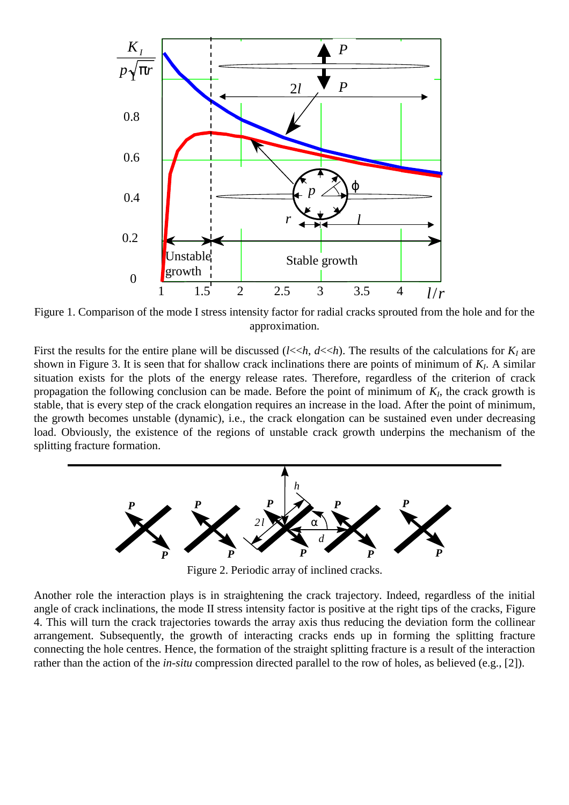

Figure 1. Comparison of the mode I stress intensity factor for radial cracks sprouted from the hole and for the approximation.

First the results for the entire plane will be discussed  $(l \ll h, d \ll h)$ . The results of the calculations for  $K_l$  are shown in Figure 3. It is seen that for shallow crack inclinations there are points of minimum of *K<sub>I</sub>*. A similar situation exists for the plots of the energy release rates. Therefore, regardless of the criterion of crack propagation the following conclusion can be made. Before the point of minimum of  $K_I$ , the crack growth is stable, that is every step of the crack elongation requires an increase in the load. After the point of minimum, the growth becomes unstable (dynamic), i.e., the crack elongation can be sustained even under decreasing load. Obviously, the existence of the regions of unstable crack growth underpins the mechanism of the splitting fracture formation.



Figure 2. Periodic array of inclined cracks.

Another role the interaction plays is in straightening the crack trajectory. Indeed, regardless of the initial angle of crack inclinations, the mode II stress intensity factor is positive at the right tips of the cracks, Figure 4. This will turn the crack trajectories towards the array axis thus reducing the deviation form the collinear arrangement. Subsequently, the growth of interacting cracks ends up in forming the splitting fracture connecting the hole centres. Hence, the formation of the straight splitting fracture is a result of the interaction rather than the action of the *in-situ* compression directed parallel to the row of holes, as believed (e.g., [2]).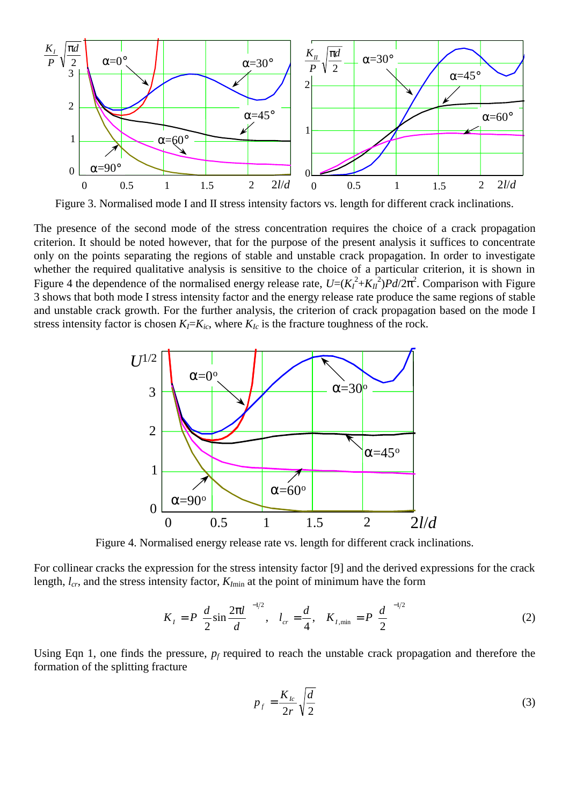

Figure 3. Normalised mode I and II stress intensity factors vs. length for different crack inclinations.

The presence of the second mode of the stress concentration requires the choice of a crack propagation criterion. It should be noted however, that for the purpose of the present analysis it suffices to concentrate only on the points separating the regions of stable and unstable crack propagation. In order to investigate whether the required qualitative analysis is sensitive to the choice of a particular criterion, it is shown in Figure 4 the dependence of the normalised energy release rate,  $U=(K_I^2+K_{II}^2)Pd/2\pi^2$ . Comparison with Figure 3 shows that both mode I stress intensity factor and the energy release rate produce the same regions of stable and unstable crack growth. For the further analysis, the criterion of crack propagation based on the mode I stress intensity factor is chosen  $K_I = K_{ic}$ , where  $K_{Ic}$  is the fracture toughness of the rock.



Figure 4. Normalised energy release rate vs. length for different crack inclinations.

For collinear cracks the expression for the stress intensity factor [9] and the derived expressions for the crack length,  $l_{cr}$ , and the stress intensity factor,  $K_{I_{min}}$  at the point of minimum have the form

$$
K_{I} = P\left(\frac{d}{2}\sin\frac{2\pi l}{d}\right)^{-1/2}, \quad l_{cr} = \frac{d}{4}, \quad K_{I,\min} = P\left(\frac{d}{2}\right)^{-1/2} \tag{2}
$$

Using Eqn 1, one finds the pressure,  $p_f$  required to reach the unstable crack propagation and therefore the formation of the splitting fracture

$$
p_f = \frac{K_{lc}}{2r} \sqrt{\frac{d}{2}}\tag{3}
$$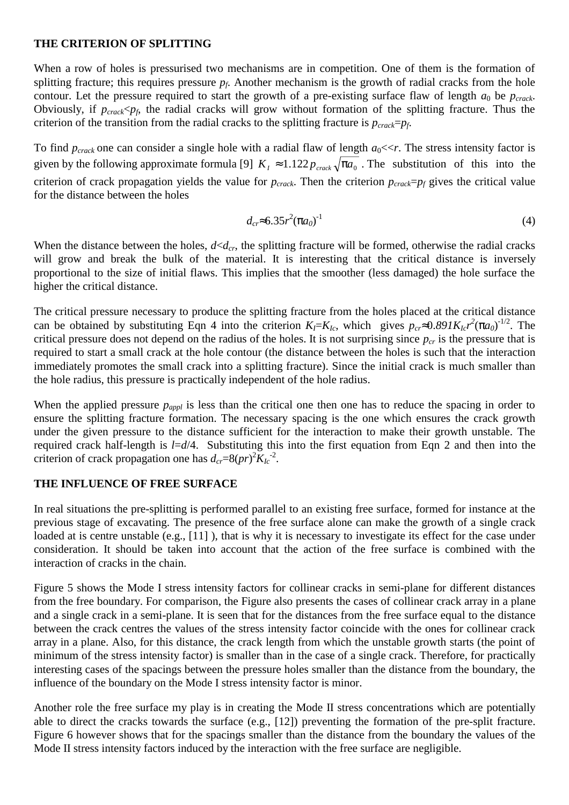#### **THE CRITERION OF SPLITTING**

When a row of holes is pressurised two mechanisms are in competition. One of them is the formation of splitting fracture; this requires pressure *pf*. Another mechanism is the growth of radial cracks from the hole contour. Let the pressure required to start the growth of a pre-existing surface flaw of length  $a_0$  be  $p_{crack}$ . Obviously, if  $p_{crack}$   $\leq p_f$ , the radial cracks will grow without formation of the splitting fracture. Thus the criterion of the transition from the radial cracks to the splitting fracture is  $p_{crack}=p_f$ .

To find  $p_{crack}$  one can consider a single hole with a radial flaw of length  $a_0 \ll r$ . The stress intensity factor is given by the following approximate formula [9]  $K_I \approx 1.122 p_{crack} \sqrt{\pi a_0}$ . The substitution of this into the criterion of crack propagation yields the value for  $p_{crack}$ . Then the criterion  $p_{crack}=p_f$  gives the critical value for the distance between the holes

$$
d_{cr} \approx 6.35 r^2 (\pi a_0)^{-1}
$$
 (4)

When the distance between the holes,  $d \lt d_{cr}$ , the splitting fracture will be formed, otherwise the radial cracks will grow and break the bulk of the material. It is interesting that the critical distance is inversely proportional to the size of initial flaws. This implies that the smoother (less damaged) the hole surface the higher the critical distance.

The critical pressure necessary to produce the splitting fracture from the holes placed at the critical distance can be obtained by substituting Eqn 4 into the criterion  $K_l = K_{lc}$ , which gives  $p_{cr} \approx 0.891 K_{lc} r^2 (\pi a_0)^{-1/2}$ . The critical pressure does not depend on the radius of the holes. It is not surprising since  $p_{cr}$  is the pressure that is required to start a small crack at the hole contour (the distance between the holes is such that the interaction immediately promotes the small crack into a splitting fracture). Since the initial crack is much smaller than the hole radius, this pressure is practically independent of the hole radius.

When the applied pressure  $p_{appl}$  is less than the critical one then one has to reduce the spacing in order to ensure the splitting fracture formation. The necessary spacing is the one which ensures the crack growth under the given pressure to the distance sufficient for the interaction to make their growth unstable. The required crack half-length is *l*=*d*/4. Substituting this into the first equation from Eqn 2 and then into the criterion of crack propagation one has  $d_{cr} = 8(pr)^2 K_{lc}^2$ .

## **THE INFLUENCE OF FREE SURFACE**

In real situations the pre-splitting is performed parallel to an existing free surface, formed for instance at the previous stage of excavating. The presence of the free surface alone can make the growth of a single crack loaded at is centre unstable (e.g., [11]), that is why it is necessary to investigate its effect for the case under consideration. It should be taken into account that the action of the free surface is combined with the interaction of cracks in the chain.

Figure 5 shows the Mode I stress intensity factors for collinear cracks in semi-plane for different distances from the free boundary. For comparison, the Figure also presents the cases of collinear crack array in a plane and a single crack in a semi-plane. It is seen that for the distances from the free surface equal to the distance between the crack centres the values of the stress intensity factor coincide with the ones for collinear crack array in a plane. Also, for this distance, the crack length from which the unstable growth starts (the point of minimum of the stress intensity factor) is smaller than in the case of a single crack. Therefore, for practically interesting cases of the spacings between the pressure holes smaller than the distance from the boundary, the influence of the boundary on the Mode I stress intensity factor is minor.

Another role the free surface my play is in creating the Mode II stress concentrations which are potentially able to direct the cracks towards the surface (e.g., [12]) preventing the formation of the pre-split fracture. Figure 6 however shows that for the spacings smaller than the distance from the boundary the values of the Mode II stress intensity factors induced by the interaction with the free surface are negligible.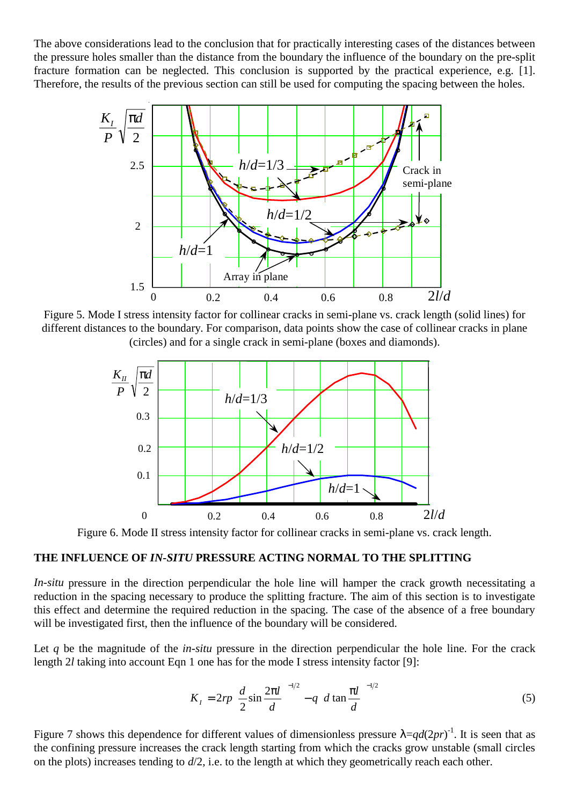The above considerations lead to the conclusion that for practically interesting cases of the distances between the pressure holes smaller than the distance from the boundary the influence of the boundary on the pre-split fracture formation can be neglected. This conclusion is supported by the practical experience, e.g. [1]. Therefore, the results of the previous section can still be used for computing the spacing between the holes.



Figure 5. Mode I stress intensity factor for collinear cracks in semi-plane vs. crack length (solid lines) for different distances to the boundary. For comparison, data points show the case of collinear cracks in plane (circles) and for a single crack in semi-plane (boxes and diamonds).



Figure 6. Mode II stress intensity factor for collinear cracks in semi-plane vs. crack length.

#### **THE INFLUENCE OF** *IN-SITU* **PRESSURE ACTING NORMAL TO THE SPLITTING**

*In-situ* pressure in the direction perpendicular the hole line will hamper the crack growth necessitating a reduction in the spacing necessary to produce the splitting fracture. The aim of this section is to investigate this effect and determine the required reduction in the spacing. The case of the absence of a free boundary will be investigated first, then the influence of the boundary will be considered.

Let q be the magnitude of the *in-situ* pressure in the direction perpendicular the hole line. For the crack length 2*l* taking into account Eqn 1 one has for the mode I stress intensity factor [9]:

$$
K_{I} = 2rp \left(\frac{d}{2}\sin\frac{2\pi l}{d}\right)^{-1/2} - q\left(d\tan\frac{\pi l}{d}\right)^{-1/2}
$$
\n<sup>(5)</sup>

Figure 7 shows this dependence for different values of dimensionless pressure  $\lambda = qd(2pr)^{-1}$ . It is seen that as the confining pressure increases the crack length starting from which the cracks grow unstable (small circles on the plots) increases tending to *d*/2, i.e. to the length at which they geometrically reach each other.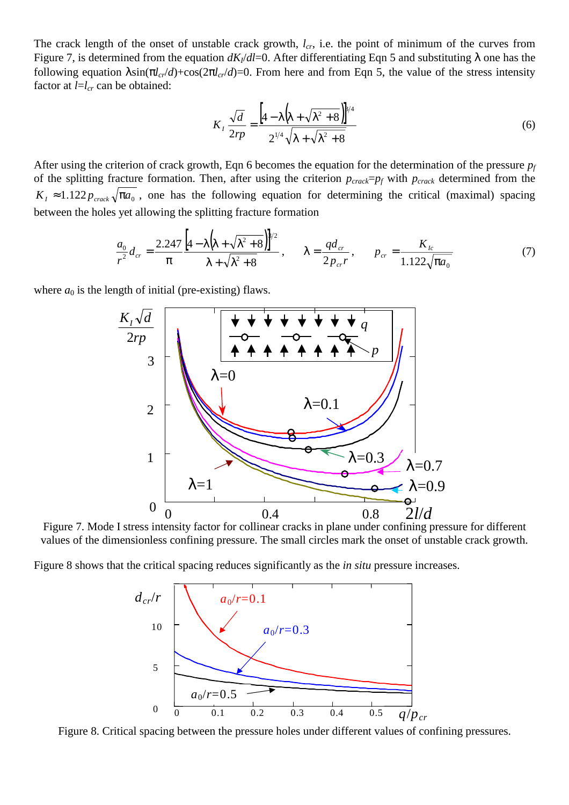The crack length of the onset of unstable crack growth,  $l_{cr}$ , i.e. the point of minimum of the curves from Figure 7, is determined from the equation  $dK_l/dl=0$ . After differentiating Eqn 5 and substituting  $\lambda$  one has the following equation  $\lambda \sin(\pi l_{cr}/d) + \cos(2\pi l_{cr}/d) = 0$ . From here and from Eqn 5, the value of the stress intensity factor at  $l=l_{cr}$  can be obtained:

$$
K_{I} \frac{\sqrt{d}}{2rp} = \frac{\left[4 - \lambda \left(\lambda + \sqrt{\lambda^2 + 8}\right)\right]^{8/4}}{2^{1/4} \sqrt{\lambda + \sqrt{\lambda^2 + 8}}}
$$
(6)

After using the criterion of crack growth, Eqn 6 becomes the equation for the determination of the pressure *pf* of the splitting fracture formation. Then, after using the criterion *pcrack*=*pf* with *pcrack* determined from the  $K_I \approx 1.122 p_{\text{crack}} \sqrt{\pi a_0}$ , one has the following equation for determining the critical (maximal) spacing between the holes yet allowing the splitting fracture formation

$$
\frac{a_0}{r^2} d_{cr} = \frac{2.247}{\pi} \frac{\left[4 - \lambda \left(\lambda + \sqrt{\lambda^2 + 8}\right)\right]^{8/2}}{\lambda + \sqrt{\lambda^2 + 8}}, \qquad \lambda = \frac{qd_{cr}}{2p_{cr}} , \qquad p_{cr} = \frac{K_{lc}}{1.122 \sqrt{\pi a_0}} \tag{7}
$$

where  $a_0$  is the length of initial (pre-existing) flaws.



Figure 7. Mode I stress intensity factor for collinear cracks in plane under confining pressure for different values of the dimensionless confining pressure. The small circles mark the onset of unstable crack growth.

Figure 8 shows that the critical spacing reduces significantly as the *in situ* pressure increases.



Figure 8. Critical spacing between the pressure holes under different values of confining pressures.